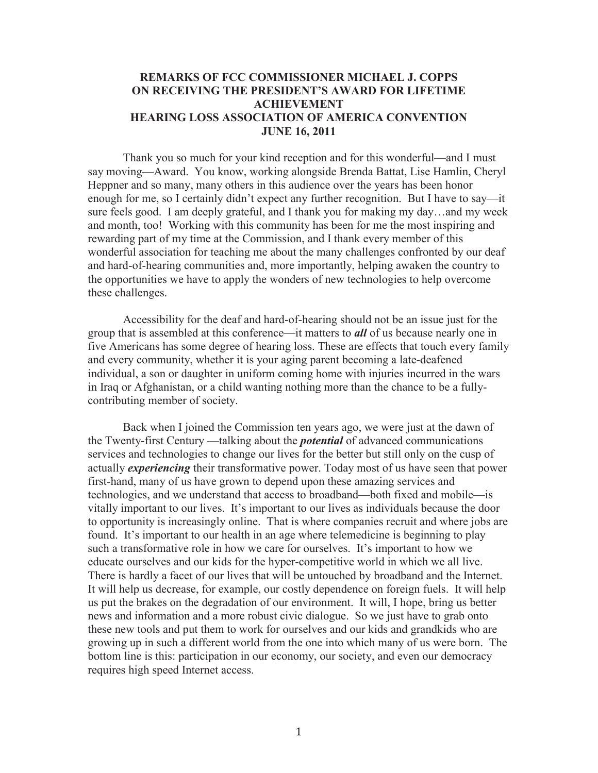## **REMARKS OF FCC COMMISSIONER MICHAEL J. COPPS ON RECEIVING THE PRESIDENT'S AWARD FOR LIFETIME ACHIEVEMENT HEARING LOSS ASSOCIATION OF AMERICA CONVENTION JUNE 16, 2011**

Thank you so much for your kind reception and for this wonderful—and I must say moving—Award. You know, working alongside Brenda Battat, Lise Hamlin, Cheryl Heppner and so many, many others in this audience over the years has been honor enough for me, so I certainly didn't expect any further recognition. But I have to say—it sure feels good. I am deeply grateful, and I thank you for making my day…and my week and month, too! Working with this community has been for me the most inspiring and rewarding part of my time at the Commission, and I thank every member of this wonderful association for teaching me about the many challenges confronted by our deaf and hard-of-hearing communities and, more importantly, helping awaken the country to the opportunities we have to apply the wonders of new technologies to help overcome these challenges.

Accessibility for the deaf and hard-of-hearing should not be an issue just for the group that is assembled at this conference—it matters to *all* of us because nearly one in five Americans has some degree of hearing loss. These are effects that touch every family and every community, whether it is your aging parent becoming a late-deafened individual, a son or daughter in uniform coming home with injuries incurred in the wars in Iraq or Afghanistan, or a child wanting nothing more than the chance to be a fullycontributing member of society.

Back when I joined the Commission ten years ago, we were just at the dawn of the Twenty-first Century —talking about the *potential* of advanced communications services and technologies to change our lives for the better but still only on the cusp of actually *experiencing* their transformative power. Today most of us have seen that power first-hand, many of us have grown to depend upon these amazing services and technologies, and we understand that access to broadband—both fixed and mobile—is vitally important to our lives. It's important to our lives as individuals because the door to opportunity is increasingly online. That is where companies recruit and where jobs are found. It's important to our health in an age where telemedicine is beginning to play such a transformative role in how we care for ourselves. It's important to how we educate ourselves and our kids for the hyper-competitive world in which we all live. There is hardly a facet of our lives that will be untouched by broadband and the Internet. It will help us decrease, for example, our costly dependence on foreign fuels. It will help us put the brakes on the degradation of our environment. It will, I hope, bring us better news and information and a more robust civic dialogue. So we just have to grab onto these new tools and put them to work for ourselves and our kids and grandkids who are growing up in such a different world from the one into which many of us were born. The bottom line is this: participation in our economy, our society, and even our democracy requires high speed Internet access.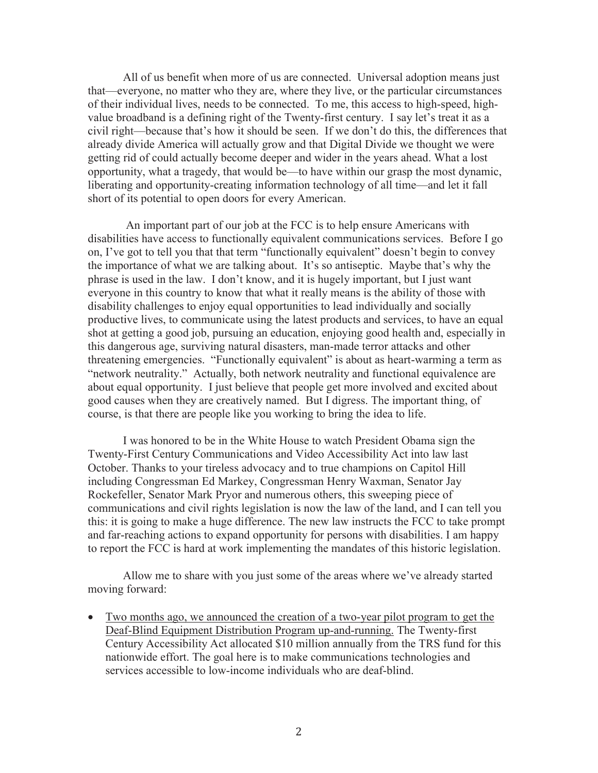All of us benefit when more of us are connected. Universal adoption means just that—everyone, no matter who they are, where they live, or the particular circumstances of their individual lives, needs to be connected. To me, this access to high-speed, highvalue broadband is a defining right of the Twenty-first century. I say let's treat it as a civil right—because that's how it should be seen. If we don't do this, the differences that already divide America will actually grow and that Digital Divide we thought we were getting rid of could actually become deeper and wider in the years ahead. What a lost opportunity, what a tragedy, that would be—to have within our grasp the most dynamic, liberating and opportunity-creating information technology of all time—and let it fall short of its potential to open doors for every American.

An important part of our job at the FCC is to help ensure Americans with disabilities have access to functionally equivalent communications services. Before I go on, I've got to tell you that that term "functionally equivalent" doesn't begin to convey the importance of what we are talking about. It's so antiseptic. Maybe that's why the phrase is used in the law. I don't know, and it is hugely important, but I just want everyone in this country to know that what it really means is the ability of those with disability challenges to enjoy equal opportunities to lead individually and socially productive lives, to communicate using the latest products and services, to have an equal shot at getting a good job, pursuing an education, enjoying good health and, especially in this dangerous age, surviving natural disasters, man-made terror attacks and other threatening emergencies. "Functionally equivalent" is about as heart-warming a term as "network neutrality." Actually, both network neutrality and functional equivalence are about equal opportunity. I just believe that people get more involved and excited about good causes when they are creatively named. But I digress. The important thing, of course, is that there are people like you working to bring the idea to life.

I was honored to be in the White House to watch President Obama sign the Twenty-First Century Communications and Video Accessibility Act into law last October. Thanks to your tireless advocacy and to true champions on Capitol Hill including Congressman Ed Markey, Congressman Henry Waxman, Senator Jay Rockefeller, Senator Mark Pryor and numerous others, this sweeping piece of communications and civil rights legislation is now the law of the land, and I can tell you this: it is going to make a huge difference. The new law instructs the FCC to take prompt and far-reaching actions to expand opportunity for persons with disabilities. I am happy to report the FCC is hard at work implementing the mandates of this historic legislation.

Allow me to share with you just some of the areas where we've already started moving forward:

• Two months ago, we announced the creation of a two-year pilot program to get the Deaf-Blind Equipment Distribution Program up-and-running. The Twenty-first Century Accessibility Act allocated \$10 million annually from the TRS fund for this nationwide effort. The goal here is to make communications technologies and services accessible to low-income individuals who are deaf-blind.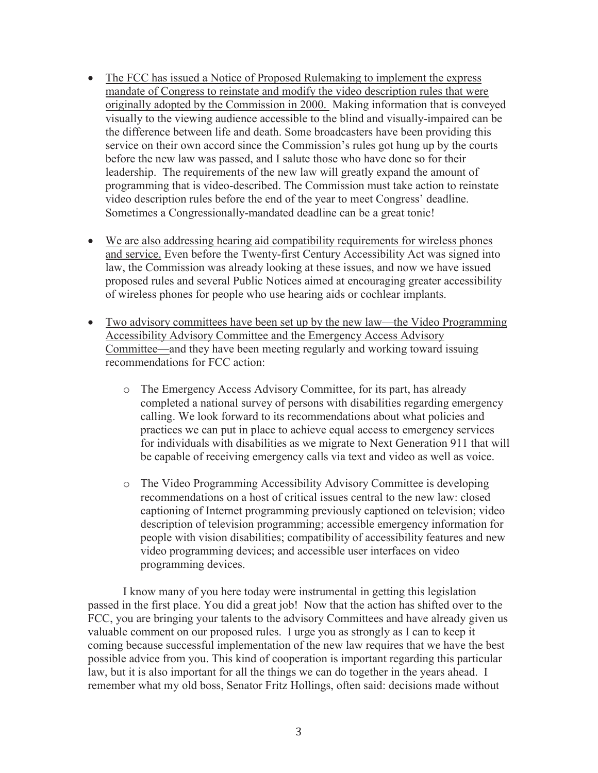- The FCC has issued a Notice of Proposed Rulemaking to implement the express mandate of Congress to reinstate and modify the video description rules that were originally adopted by the Commission in 2000. Making information that is conveyed visually to the viewing audience accessible to the blind and visually-impaired can be the difference between life and death. Some broadcasters have been providing this service on their own accord since the Commission's rules got hung up by the courts before the new law was passed, and I salute those who have done so for their leadership. The requirements of the new law will greatly expand the amount of programming that is video-described. The Commission must take action to reinstate video description rules before the end of the year to meet Congress' deadline. Sometimes a Congressionally-mandated deadline can be a great tonic!
- We are also addressing hearing aid compatibility requirements for wireless phones and service. Even before the Twenty-first Century Accessibility Act was signed into law, the Commission was already looking at these issues, and now we have issued proposed rules and several Public Notices aimed at encouraging greater accessibility of wireless phones for people who use hearing aids or cochlear implants.
- Two advisory committees have been set up by the new law—the Video Programming Accessibility Advisory Committee and the Emergency Access Advisory Committee—and they have been meeting regularly and working toward issuing recommendations for FCC action:
	- o The Emergency Access Advisory Committee, for its part, has already completed a national survey of persons with disabilities regarding emergency calling. We look forward to its recommendations about what policies and practices we can put in place to achieve equal access to emergency services for individuals with disabilities as we migrate to Next Generation 911 that will be capable of receiving emergency calls via text and video as well as voice.
	- o The Video Programming Accessibility Advisory Committee is developing recommendations on a host of critical issues central to the new law: closed captioning of Internet programming previously captioned on television; video description of television programming; accessible emergency information for people with vision disabilities; compatibility of accessibility features and new video programming devices; and accessible user interfaces on video programming devices.

I know many of you here today were instrumental in getting this legislation passed in the first place. You did a great job! Now that the action has shifted over to the FCC, you are bringing your talents to the advisory Committees and have already given us valuable comment on our proposed rules. I urge you as strongly as I can to keep it coming because successful implementation of the new law requires that we have the best possible advice from you. This kind of cooperation is important regarding this particular law, but it is also important for all the things we can do together in the years ahead. I remember what my old boss, Senator Fritz Hollings, often said: decisions made without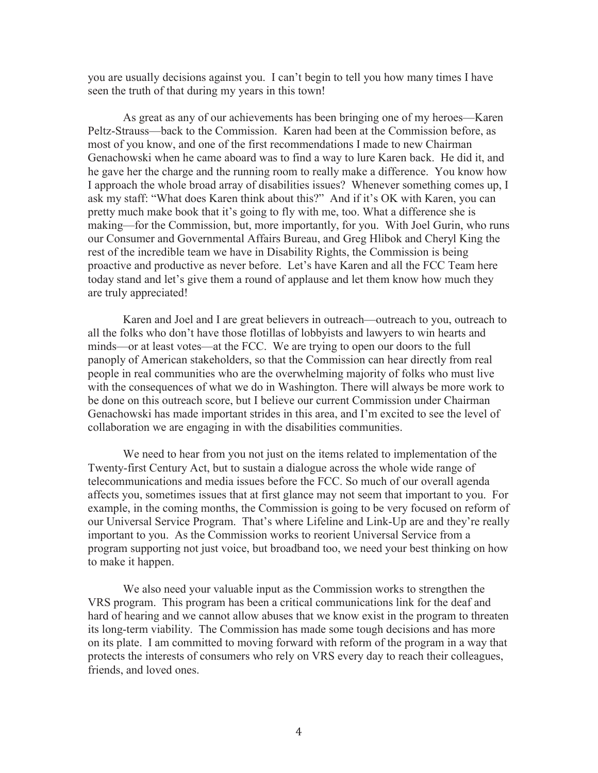you are usually decisions against you. I can't begin to tell you how many times I have seen the truth of that during my years in this town!

As great as any of our achievements has been bringing one of my heroes—Karen Peltz-Strauss—back to the Commission. Karen had been at the Commission before, as most of you know, and one of the first recommendations I made to new Chairman Genachowski when he came aboard was to find a way to lure Karen back. He did it, and he gave her the charge and the running room to really make a difference. You know how I approach the whole broad array of disabilities issues? Whenever something comes up, I ask my staff: "What does Karen think about this?" And if it's OK with Karen, you can pretty much make book that it's going to fly with me, too. What a difference she is making—for the Commission, but, more importantly, for you. With Joel Gurin, who runs our Consumer and Governmental Affairs Bureau, and Greg Hlibok and Cheryl King the rest of the incredible team we have in Disability Rights, the Commission is being proactive and productive as never before. Let's have Karen and all the FCC Team here today stand and let's give them a round of applause and let them know how much they are truly appreciated!

Karen and Joel and I are great believers in outreach—outreach to you, outreach to all the folks who don't have those flotillas of lobbyists and lawyers to win hearts and minds—or at least votes—at the FCC. We are trying to open our doors to the full panoply of American stakeholders, so that the Commission can hear directly from real people in real communities who are the overwhelming majority of folks who must live with the consequences of what we do in Washington. There will always be more work to be done on this outreach score, but I believe our current Commission under Chairman Genachowski has made important strides in this area, and I'm excited to see the level of collaboration we are engaging in with the disabilities communities.

We need to hear from you not just on the items related to implementation of the Twenty-first Century Act, but to sustain a dialogue across the whole wide range of telecommunications and media issues before the FCC. So much of our overall agenda affects you, sometimes issues that at first glance may not seem that important to you. For example, in the coming months, the Commission is going to be very focused on reform of our Universal Service Program. That's where Lifeline and Link-Up are and they're really important to you. As the Commission works to reorient Universal Service from a program supporting not just voice, but broadband too, we need your best thinking on how to make it happen.

We also need your valuable input as the Commission works to strengthen the VRS program. This program has been a critical communications link for the deaf and hard of hearing and we cannot allow abuses that we know exist in the program to threaten its long-term viability. The Commission has made some tough decisions and has more on its plate. I am committed to moving forward with reform of the program in a way that protects the interests of consumers who rely on VRS every day to reach their colleagues, friends, and loved ones.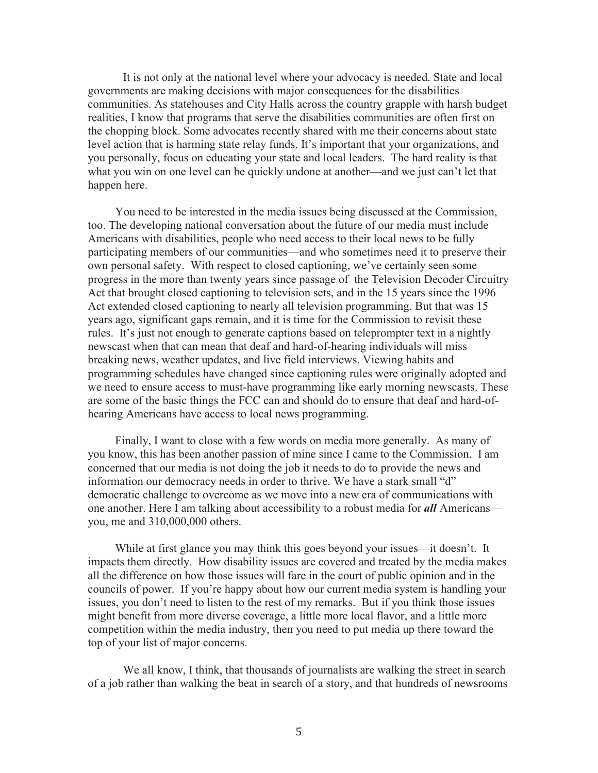It is not only at the national level where your advocacy is needed. State and local governments are making decisions with major consequences for the disabilities communities. As statehouses and City Halls across the country grapple with harsh budget realities, I know that programs that serve the disabilities communities are often first on the chopping block. Some advocates recently shared with me their concerns about state level action that is harming state relay funds. It's important that your organizations, and you personally, focus on educating your state and local leaders. The hard reality is that what you win on one level can be quickly undone at another—and we just can't let that happen here.

You need to be interested in the media issues being discussed at the Commission, too. The developing national conversation about the future of our media must include Americans with disabilities, people who need access to their local news to be fully participating members of our communities—and who sometimes need it to preserve their own personal safety. With respect to closed captioning, we've certainly seen some progress in the more than twenty years since passage of the Television Decoder Circuitry Act that brought closed captioning to television sets, and in the 15 years since the 1996 Act extended closed captioning to nearly all television programming. But that was 15 years ago, significant gaps remain, and it is time for the Commission to revisit these rules. It's just not enough to generate captions based on teleprompter text in a nightly newscast when that can mean that deaf and hard-of-hearing individuals will miss breaking news, weather updates, and live field interviews. Viewing habits and programming schedules have changed since captioning rules were originally adopted and we need to ensure access to must-have programming like early morning newscasts. These are some of the basic things the FCC can and should do to ensure that deaf and hard-ofhearing Americans have access to local news programming.

Finally, I want to close with a few words on media more generally. As many of you know, this has been another passion of mine since I came to the Commission. I am concerned that our media is not doing the job it needs to do to provide the news and information our democracy needs in order to thrive. We have a stark small "d" democratic challenge to overcome as we move into a new era of communications with one another. Here I am talking about accessibility to a robust media for *all* Americans you, me and 310,000,000 others.

While at first glance you may think this goes beyond your issues—it doesn't. It impacts them directly. How disability issues are covered and treated by the media makes all the difference on how those issues will fare in the court of public opinion and in the councils of power. If you're happy about how our current media system is handling your issues, you don't need to listen to the rest of my remarks. But if you think those issues might benefit from more diverse coverage, a little more local flavor, and a little more competition within the media industry, then you need to put media up there toward the top of your list of major concerns.

We all know, I think, that thousands of journalists are walking the street in search of a job rather than walking the beat in search of a story, and that hundreds of newsrooms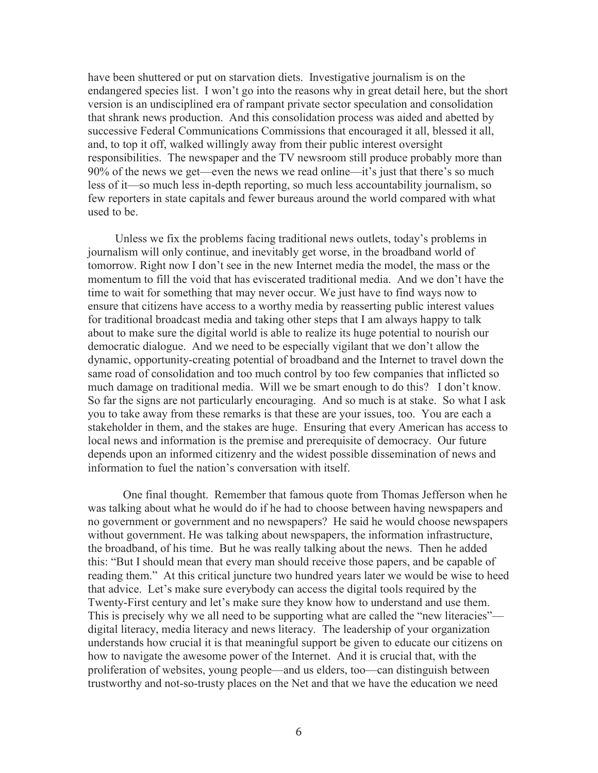have been shuttered or put on starvation diets. Investigative journalism is on the endangered species list. I won't go into the reasons why in great detail here, but the short version is an undisciplined era of rampant private sector speculation and consolidation that shrank news production. And this consolidation process was aided and abetted by successive Federal Communications Commissions that encouraged it all, blessed it all, and, to top it off, walked willingly away from their public interest oversight responsibilities. The newspaper and the TV newsroom still produce probably more than 90% of the news we get—even the news we read online—it's just that there's so much less of it—so much less in-depth reporting, so much less accountability journalism, so few reporters in state capitals and fewer bureaus around the world compared with what used to be.

Unless we fix the problems facing traditional news outlets, today's problems in journalism will only continue, and inevitably get worse, in the broadband world of tomorrow. Right now I don't see in the new Internet media the model, the mass or the momentum to fill the void that has eviscerated traditional media. And we don't have the time to wait for something that may never occur. We just have to find ways now to ensure that citizens have access to a worthy media by reasserting public interest values for traditional broadcast media and taking other steps that I am always happy to talk about to make sure the digital world is able to realize its huge potential to nourish our democratic dialogue. And we need to be especially vigilant that we don't allow the dynamic, opportunity-creating potential of broadband and the Internet to travel down the same road of consolidation and too much control by too few companies that inflicted so much damage on traditional media. Will we be smart enough to do this? I don't know. So far the signs are not particularly encouraging. And so much is at stake. So what I ask you to take away from these remarks is that these are your issues, too. You are each a stakeholder in them, and the stakes are huge. Ensuring that every American has access to local news and information is the premise and prerequisite of democracy. Our future depends upon an informed citizenry and the widest possible dissemination of news and information to fuel the nation's conversation with itself.

One final thought. Remember that famous quote from Thomas Jefferson when he was talking about what he would do if he had to choose between having newspapers and no government or government and no newspapers? He said he would choose newspapers without government. He was talking about newspapers, the information infrastructure, the broadband, of his time. But he was really talking about the news. Then he added this: "But I should mean that every man should receive those papers, and be capable of reading them." At this critical juncture two hundred years later we would be wise to heed that advice. Let's make sure everybody can access the digital tools required by the Twenty-First century and let's make sure they know how to understand and use them. This is precisely why we all need to be supporting what are called the "new literacies" digital literacy, media literacy and news literacy. The leadership of your organization understands how crucial it is that meaningful support be given to educate our citizens on how to navigate the awesome power of the Internet. And it is crucial that, with the proliferation of websites, young people—and us elders, too—can distinguish between trustworthy and not-so-trusty places on the Net and that we have the education we need